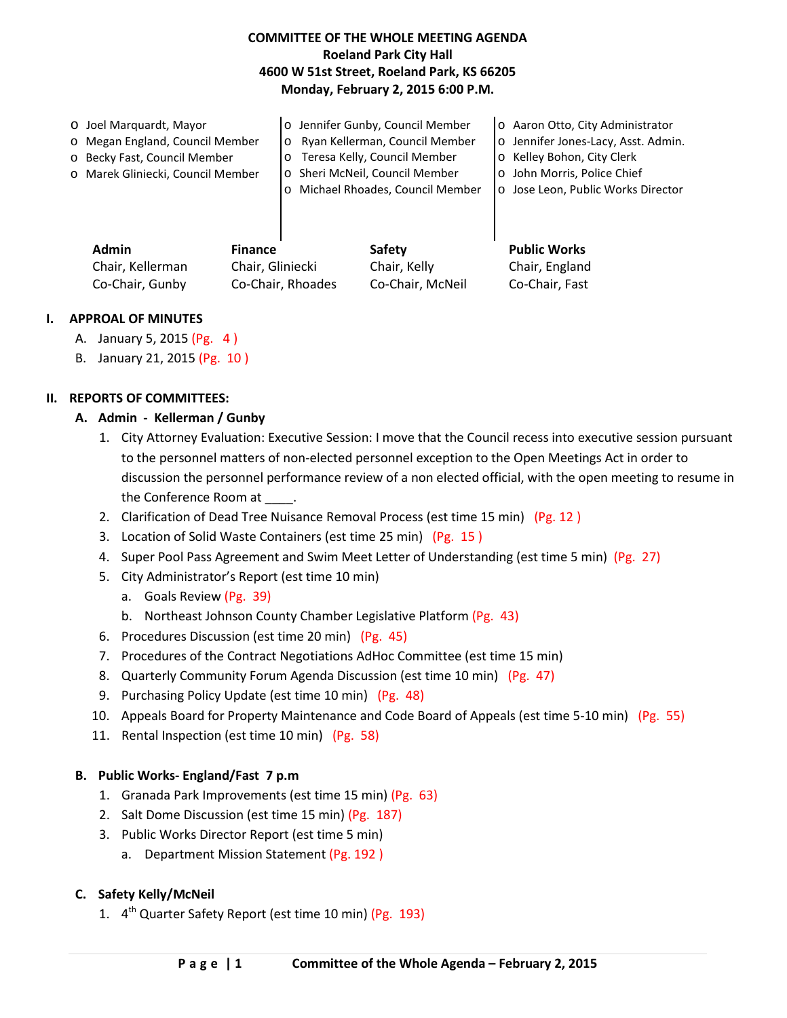## **COMMITTEE OF THE WHOLE MEETING AGENDA Roeland Park City Hall 4600 W 51st Street, Roeland Park, KS 66205 Monday, February 2, 2015 6:00 P.M.**

| o Joel Marguardt, Mayor           | o Jennifer Gunby, Council Member           | o Aaron Otto, City Administrator    |
|-----------------------------------|--------------------------------------------|-------------------------------------|
| o Megan England, Council Member   | o Ryan Kellerman, Council Member           | o Jennifer Jones-Lacy, Asst. Admin. |
| o Becky Fast, Council Member      | o Teresa Kelly, Council Member             | o Kelley Bohon, City Clerk          |
| o Marek Gliniecki, Council Member | o Sheri McNeil, Council Member             | o John Morris, Police Chief         |
|                                   | Michael Rhoades, Council Member<br>$\circ$ | o Jose Leon, Public Works Director  |
|                                   |                                            |                                     |
|                                   |                                            |                                     |
|                                   |                                            |                                     |

| Admin            | <b>Finance</b>    | Safety           | <b>Public Works</b> |
|------------------|-------------------|------------------|---------------------|
| Chair, Kellerman | Chair, Gliniecki  | Chair, Kelly     | Chair, England      |
| Co-Chair, Gunby  | Co-Chair, Rhoades | Co-Chair, McNeil | Co-Chair, Fast      |

#### **I. APPROAL OF MINUTES**

- A. January 5, 2015 (Pg. 4 )
- B. January 21, 2015 (Pg. 10 )

### **II. REPORTS OF COMMITTEES:**

- **A. Admin Kellerman / Gunby**
	- 1. City Attorney Evaluation: Executive Session: I move that the Council recess into executive session pursuant to the personnel matters of non-elected personnel exception to the Open Meetings Act in order to discussion the personnel performance review of a non elected official, with the open meeting to resume in the Conference Room at
	- 2. Clarification of Dead Tree Nuisance Removal Process (est time 15 min) (Pg. 12 )
	- 3. Location of Solid Waste Containers (est time 25 min) (Pg. 15 )
	- 4. Super Pool Pass Agreement and Swim Meet Letter of Understanding (est time 5 min) (Pg. 27)
	- 5. City Administrator's Report (est time 10 min)
		- a. Goals Review (Pg. 39)
		- b. Northeast Johnson County Chamber Legislative Platform (Pg. 43)
	- 6. Procedures Discussion (est time 20 min) (Pg. 45)
	- 7. Procedures of the Contract Negotiations AdHoc Committee (est time 15 min)
	- 8. Quarterly Community Forum Agenda Discussion (est time 10 min) (Pg. 47)
	- 9. Purchasing Policy Update (est time 10 min) (Pg. 48)
	- 10. Appeals Board for Property Maintenance and Code Board of Appeals (est time 5-10 min) (Pg. 55)
	- 11. Rental Inspection (est time 10 min) (Pg. 58)

#### **B. Public Works- England/Fast 7 p.m**

- 1. Granada Park Improvements (est time 15 min) (Pg. 63)
- 2. Salt Dome Discussion (est time 15 min) (Pg. 187)
- 3. Public Works Director Report (est time 5 min)
	- a. Department Mission Statement (Pg. 192)

### **C. Safety Kelly/McNeil**

1.  $4^{th}$  Quarter Safety Report (est time 10 min) (Pg. 193)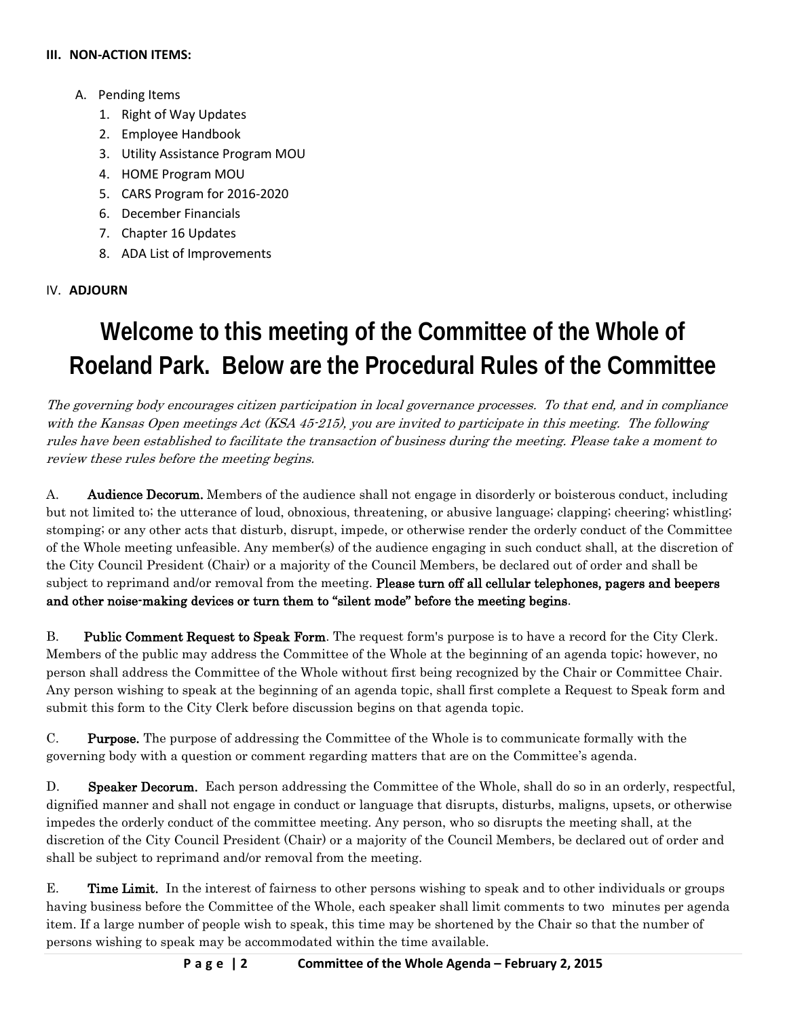#### **III. NON-ACTION ITEMS:**

- A. Pending Items
	- 1. Right of Way Updates
	- 2. Employee Handbook
	- 3. Utility Assistance Program MOU
	- 4. HOME Program MOU
	- 5. CARS Program for 2016-2020
	- 6. December Financials
	- 7. Chapter 16 Updates
	- 8. ADA List of Improvements

## IV. **ADJOURN**

# **Welcome to this meeting of the Committee of the Whole of Roeland Park. Below are the Procedural Rules of the Committee**

The governing body encourages citizen participation in local governance processes. To that end, and in compliance with the Kansas Open meetings Act (KSA 45-215), you are invited to participate in this meeting. The following rules have been established to facilitate the transaction of business during the meeting. Please take a moment to review these rules before the meeting begins.

A. **Audience Decorum.** Members of the audience shall not engage in disorderly or boisterous conduct, including but not limited to; the utterance of loud, obnoxious, threatening, or abusive language; clapping; cheering; whistling; stomping; or any other acts that disturb, disrupt, impede, or otherwise render the orderly conduct of the Committee of the Whole meeting unfeasible. Any member(s) of the audience engaging in such conduct shall, at the discretion of the City Council President (Chair) or a majority of the Council Members, be declared out of order and shall be subject to reprimand and/or removal from the meeting. Please turn off all cellular telephones, pagers and beepers and other noise-making devices or turn them to "silent mode" before the meeting begins.

B. Public Comment Request to Speak Form. The request form's purpose is to have a record for the City Clerk. Members of the public may address the Committee of the Whole at the beginning of an agenda topic; however, no person shall address the Committee of the Whole without first being recognized by the Chair or Committee Chair. Any person wishing to speak at the beginning of an agenda topic, shall first complete a Request to Speak form and submit this form to the City Clerk before discussion begins on that agenda topic.

C. Purpose. The purpose of addressing the Committee of the Whole is to communicate formally with the governing body with a question or comment regarding matters that are on the Committee's agenda.

D. Speaker Decorum. Each person addressing the Committee of the Whole, shall do so in an orderly, respectful, dignified manner and shall not engage in conduct or language that disrupts, disturbs, maligns, upsets, or otherwise impedes the orderly conduct of the committee meeting. Any person, who so disrupts the meeting shall, at the discretion of the City Council President (Chair) or a majority of the Council Members, be declared out of order and shall be subject to reprimand and/or removal from the meeting.

E. Time Limit. In the interest of fairness to other persons wishing to speak and to other individuals or groups having business before the Committee of the Whole, each speaker shall limit comments to two minutes per agenda item. If a large number of people wish to speak, this time may be shortened by the Chair so that the number of persons wishing to speak may be accommodated within the time available.